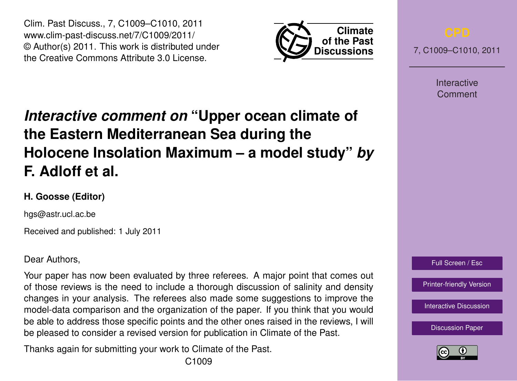Clim. Past Discuss., 7, C1009–C1010, 2011 www.clim-past-discuss.net/7/C1009/2011/ © Author(s) 2011. This work is distributed under the Creative Commons Attribute 3.0 License.



7, C1009–C1010, 2011

Interactive Comment

## *Interactive comment on* **"Upper ocean climate of the Eastern Mediterranean Sea during the Holocene Insolation Maximum – a model study"** *by* **F. Adloff et al.**

## **H. Goosse (Editor)**

hgs@astr.ucl.ac.be

Received and published: 1 July 2011

Dear Authors,

Your paper has now been evaluated by three referees. A major point that comes out of those reviews is the need to include a thorough discussion of salinity and density changes in your analysis. The referees also made some suggestions to improve the model-data comparison and the organization of the paper. If you think that you would be able to address those specific points and the other ones raised in the reviews, I will be pleased to consider a revised version for publication in Climate of the Past.

Thanks again for submitting your work to Climate of the Past.



[Printer-friendly Version](http://www.clim-past-discuss.net/7/C1009/2011/cpd-7-C1009-2011-print.pdf)

[Interactive Discussion](http://www.clim-past-discuss.net/7/1457/2011/cpd-7-1457-2011-discussion.html)

[Discussion Paper](http://www.clim-past-discuss.net/7/1457/2011/cpd-7-1457-2011.pdf)